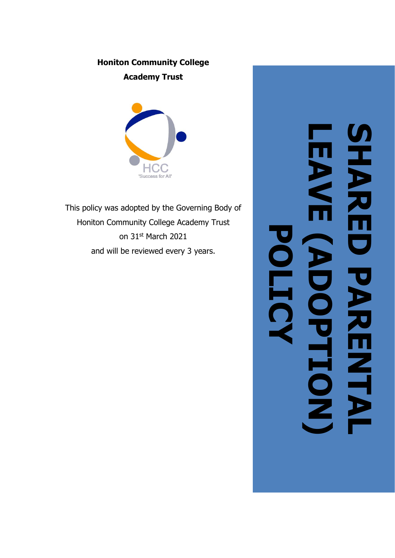# **Honiton Community College Academy Trust**



This policy was adopted by the Governing Body of Honiton Community College Academy Trust on 31 st March 2021 and will be reviewed every 3 years.

# **LEAVE (ADOPTION) SHARED PARENTAL MANI AREI POLICY**E **PARENT PTTON**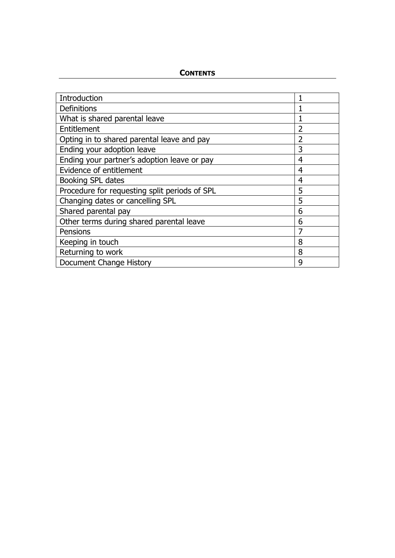# **CONTENTS**

| Introduction                                  | 1              |
|-----------------------------------------------|----------------|
| <b>Definitions</b>                            |                |
| What is shared parental leave                 |                |
| Entitlement                                   | 2              |
| Opting in to shared parental leave and pay    | $\overline{2}$ |
| Ending your adoption leave                    | 3              |
| Ending your partner's adoption leave or pay   | 4              |
| Evidence of entitlement                       | 4              |
| Booking SPL dates                             | 4              |
| Procedure for requesting split periods of SPL | 5              |
| Changing dates or cancelling SPL              | 5              |
| Shared parental pay                           | 6              |
| Other terms during shared parental leave      | 6              |
| Pensions                                      | 7              |
| Keeping in touch                              | 8              |
| Returning to work                             | 8              |
| Document Change History                       | 9              |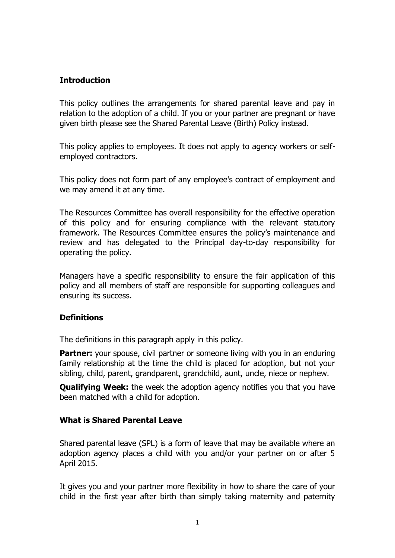# **Introduction**

This policy outlines the arrangements for shared parental leave and pay in relation to the adoption of a child. If you or your partner are pregnant or have given birth please see the Shared Parental Leave (Birth) Policy instead.

This policy applies to employees. It does not apply to agency workers or selfemployed contractors.

This policy does not form part of any employee's contract of employment and we may amend it at any time.

The Resources Committee has overall responsibility for the effective operation of this policy and for ensuring compliance with the relevant statutory framework. The Resources Committee ensures the policy's maintenance and review and has delegated to the Principal day-to-day responsibility for operating the policy.

Managers have a specific responsibility to ensure the fair application of this policy and all members of staff are responsible for supporting colleagues and ensuring its success.

# **Definitions**

The definitions in this paragraph apply in this policy.

**Partner:** your spouse, civil partner or someone living with you in an enduring family relationship at the time the child is placed for adoption, but not your sibling, child, parent, grandparent, grandchild, aunt, uncle, niece or nephew.

**Qualifying Week:** the week the adoption agency notifies you that you have been matched with a child for adoption.

# **What is Shared Parental Leave**

Shared parental leave (SPL) is a form of leave that may be available where an adoption agency places a child with you and/or your partner on or after 5 April 2015.

It gives you and your partner more flexibility in how to share the care of your child in the first year after birth than simply taking maternity and paternity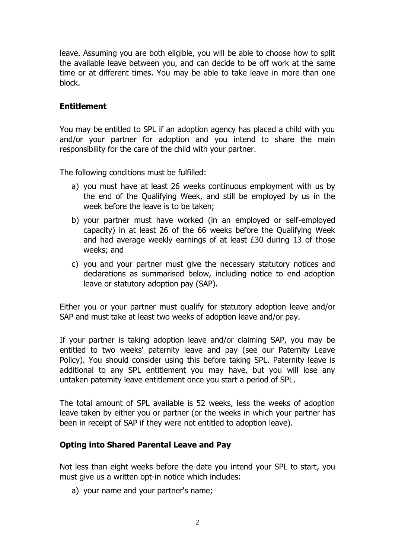leave. Assuming you are both eligible, you will be able to choose how to split the available leave between you, and can decide to be off work at the same time or at different times. You may be able to take leave in more than one block.

# **Entitlement**

You may be entitled to SPL if an adoption agency has placed a child with you and/or your partner for adoption and you intend to share the main responsibility for the care of the child with your partner.

The following conditions must be fulfilled:

- a) you must have at least 26 weeks continuous employment with us by the end of the Qualifying Week, and still be employed by us in the week before the leave is to be taken;
- b) your partner must have worked (in an employed or self-employed capacity) in at least 26 of the 66 weeks before the Qualifying Week and had average weekly earnings of at least £30 during 13 of those weeks; and
- c) you and your partner must give the necessary statutory notices and declarations as summarised below, including notice to end adoption leave or statutory adoption pay (SAP).

Either you or your partner must qualify for statutory adoption leave and/or SAP and must take at least two weeks of adoption leave and/or pay.

If your partner is taking adoption leave and/or claiming SAP, you may be entitled to two weeks' paternity leave and pay (see our Paternity Leave Policy). You should consider using this before taking SPL. Paternity leave is additional to any SPL entitlement you may have, but you will lose any untaken paternity leave entitlement once you start a period of SPL.

The total amount of SPL available is 52 weeks, less the weeks of adoption leave taken by either you or partner (or the weeks in which your partner has been in receipt of SAP if they were not entitled to adoption leave).

# **Opting into Shared Parental Leave and Pay**

Not less than eight weeks before the date you intend your SPL to start, you must give us a written opt-in notice which includes:

a) your name and your partner's name;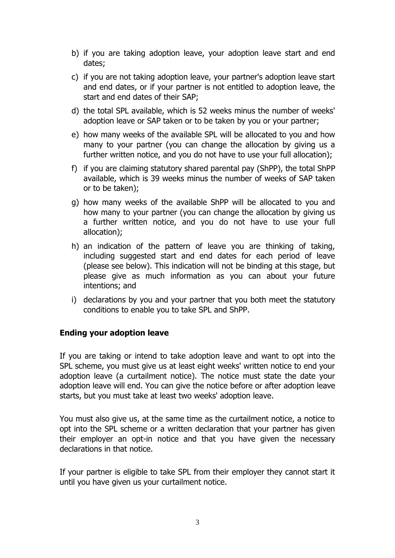- b) if you are taking adoption leave, your adoption leave start and end dates;
- c) if you are not taking adoption leave, your partner's adoption leave start and end dates, or if your partner is not entitled to adoption leave, the start and end dates of their SAP;
- d) the total SPL available, which is 52 weeks minus the number of weeks' adoption leave or SAP taken or to be taken by you or your partner;
- e) how many weeks of the available SPL will be allocated to you and how many to your partner (you can change the allocation by giving us a further written notice, and you do not have to use your full allocation);
- f) if you are claiming statutory shared parental pay (ShPP), the total ShPP available, which is 39 weeks minus the number of weeks of SAP taken or to be taken);
- g) how many weeks of the available ShPP will be allocated to you and how many to your partner (you can change the allocation by giving us a further written notice, and you do not have to use your full allocation);
- h) an indication of the pattern of leave you are thinking of taking, including suggested start and end dates for each period of leave (please see below). This indication will not be binding at this stage, but please give as much information as you can about your future intentions; and
- i) declarations by you and your partner that you both meet the statutory conditions to enable you to take SPL and ShPP.

# **Ending your adoption leave**

If you are taking or intend to take adoption leave and want to opt into the SPL scheme, you must give us at least eight weeks' written notice to end your adoption leave (a curtailment notice). The notice must state the date your adoption leave will end. You can give the notice before or after adoption leave starts, but you must take at least two weeks' adoption leave.

You must also give us, at the same time as the curtailment notice, a notice to opt into the SPL scheme or a written declaration that your partner has given their employer an opt-in notice and that you have given the necessary declarations in that notice.

If your partner is eligible to take SPL from their employer they cannot start it until you have given us your curtailment notice.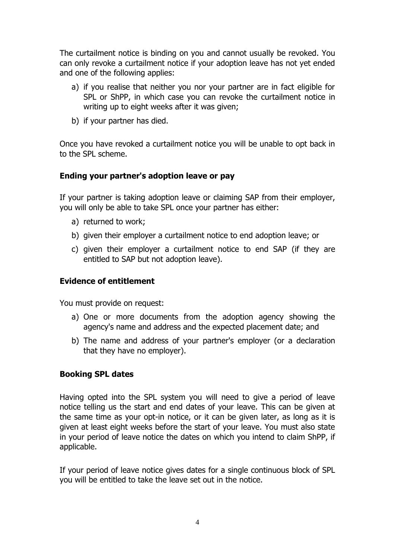The curtailment notice is binding on you and cannot usually be revoked. You can only revoke a curtailment notice if your adoption leave has not yet ended and one of the following applies:

- a) if you realise that neither you nor your partner are in fact eligible for SPL or ShPP, in which case you can revoke the curtailment notice in writing up to eight weeks after it was given;
- b) if your partner has died.

Once you have revoked a curtailment notice you will be unable to opt back in to the SPL scheme.

# **Ending your partner's adoption leave or pay**

If your partner is taking adoption leave or claiming SAP from their employer, you will only be able to take SPL once your partner has either:

- a) returned to work;
- b) given their employer a curtailment notice to end adoption leave; or
- c) given their employer a curtailment notice to end SAP (if they are entitled to SAP but not adoption leave).

# **Evidence of entitlement**

You must provide on request:

- a) One or more documents from the adoption agency showing the agency's name and address and the expected placement date; and
- b) The name and address of your partner's employer (or a declaration that they have no employer).

# **Booking SPL dates**

Having opted into the SPL system you will need to give a period of leave notice telling us the start and end dates of your leave. This can be given at the same time as your opt-in notice, or it can be given later, as long as it is given at least eight weeks before the start of your leave. You must also state in your period of leave notice the dates on which you intend to claim ShPP, if applicable.

If your period of leave notice gives dates for a single continuous block of SPL you will be entitled to take the leave set out in the notice.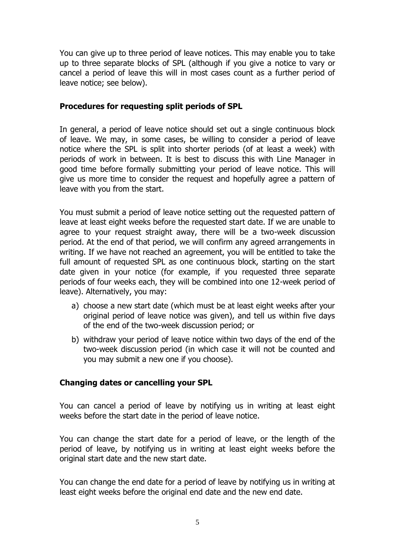You can give up to three period of leave notices. This may enable you to take up to three separate blocks of SPL (although if you give a notice to vary or cancel a period of leave this will in most cases count as a further period of leave notice; see below).

# **Procedures for requesting split periods of SPL**

In general, a period of leave notice should set out a single continuous block of leave. We may, in some cases, be willing to consider a period of leave notice where the SPL is split into shorter periods (of at least a week) with periods of work in between. It is best to discuss this with Line Manager in good time before formally submitting your period of leave notice. This will give us more time to consider the request and hopefully agree a pattern of leave with you from the start.

You must submit a period of leave notice setting out the requested pattern of leave at least eight weeks before the requested start date. If we are unable to agree to your request straight away, there will be a two-week discussion period. At the end of that period, we will confirm any agreed arrangements in writing. If we have not reached an agreement, you will be entitled to take the full amount of requested SPL as one continuous block, starting on the start date given in your notice (for example, if you requested three separate periods of four weeks each, they will be combined into one 12-week period of leave). Alternatively, you may:

- a) choose a new start date (which must be at least eight weeks after your original period of leave notice was given), and tell us within five days of the end of the two-week discussion period; or
- b) withdraw your period of leave notice within two days of the end of the two-week discussion period (in which case it will not be counted and you may submit a new one if you choose).

# **Changing dates or cancelling your SPL**

You can cancel a period of leave by notifying us in writing at least eight weeks before the start date in the period of leave notice.

You can change the start date for a period of leave, or the length of the period of leave, by notifying us in writing at least eight weeks before the original start date and the new start date.

You can change the end date for a period of leave by notifying us in writing at least eight weeks before the original end date and the new end date.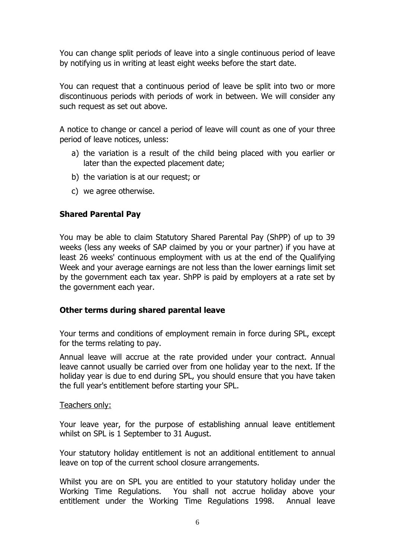You can change split periods of leave into a single continuous period of leave by notifying us in writing at least eight weeks before the start date.

You can request that a continuous period of leave be split into two or more discontinuous periods with periods of work in between. We will consider any such request as set out above.

A notice to change or cancel a period of leave will count as one of your three period of leave notices, unless:

- a) the variation is a result of the child being placed with you earlier or later than the expected placement date;
- b) the variation is at our request; or
- c) we agree otherwise.

# **Shared Parental Pay**

You may be able to claim Statutory Shared Parental Pay (ShPP) of up to 39 weeks (less any weeks of SAP claimed by you or your partner) if you have at least 26 weeks' continuous employment with us at the end of the Qualifying Week and your average earnings are not less than the lower earnings limit set by the government each tax year. ShPP is paid by employers at a rate set by the government each year.

# **Other terms during shared parental leave**

Your terms and conditions of employment remain in force during SPL, except for the terms relating to pay.

Annual leave will accrue at the rate provided under your contract. Annual leave cannot usually be carried over from one holiday year to the next. If the holiday year is due to end during SPL, you should ensure that you have taken the full year's entitlement before starting your SPL.

# Teachers only:

Your leave year, for the purpose of establishing annual leave entitlement whilst on SPL is 1 September to 31 August.

Your statutory holiday entitlement is not an additional entitlement to annual leave on top of the current school closure arrangements.

Whilst you are on SPL you are entitled to your statutory holiday under the Working Time Regulations. You shall not accrue holiday above your entitlement under the Working Time Regulations 1998. Annual leave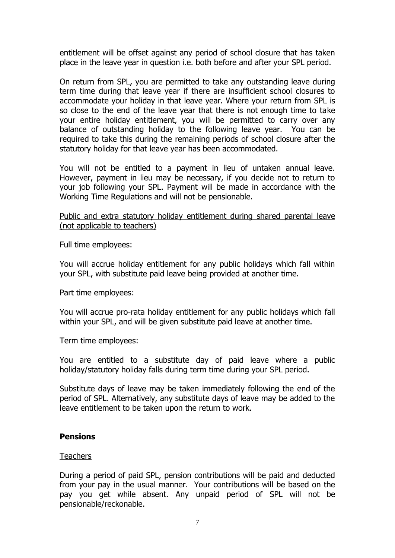entitlement will be offset against any period of school closure that has taken place in the leave year in question i.e. both before and after your SPL period.

On return from SPL, you are permitted to take any outstanding leave during term time during that leave year if there are insufficient school closures to accommodate your holiday in that leave year. Where your return from SPL is so close to the end of the leave year that there is not enough time to take your entire holiday entitlement, you will be permitted to carry over any balance of outstanding holiday to the following leave year. You can be required to take this during the remaining periods of school closure after the statutory holiday for that leave year has been accommodated.

You will not be entitled to a payment in lieu of untaken annual leave. However, payment in lieu may be necessary, if you decide not to return to your job following your SPL. Payment will be made in accordance with the Working Time Regulations and will not be pensionable.

# Public and extra statutory holiday entitlement during shared parental leave (not applicable to teachers)

Full time employees:

You will accrue holiday entitlement for any public holidays which fall within your SPL, with substitute paid leave being provided at another time.

Part time employees:

You will accrue pro-rata holiday entitlement for any public holidays which fall within your SPL, and will be given substitute paid leave at another time.

Term time employees:

You are entitled to a substitute day of paid leave where a public holiday/statutory holiday falls during term time during your SPL period.

Substitute days of leave may be taken immediately following the end of the period of SPL. Alternatively, any substitute days of leave may be added to the leave entitlement to be taken upon the return to work.

# **Pensions**

# **Teachers**

During a period of paid SPL, pension contributions will be paid and deducted from your pay in the usual manner. Your contributions will be based on the pay you get while absent. Any unpaid period of SPL will not be pensionable/reckonable.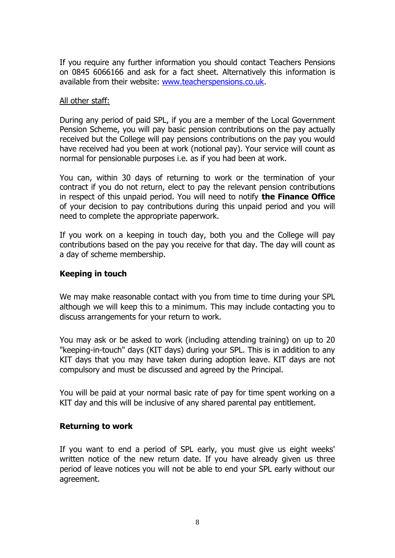If you require any further information you should contact Teachers Pensions on 0845 6066166 and ask for a fact sheet. Alternatively this information is available from their website: [www.teacherspensions.co.uk.](http://www.teacherspensions.co.uk/)

# All other staff:

During any period of paid SPL, if you are a member of the Local Government Pension Scheme, you will pay basic pension contributions on the pay actually received but the College will pay pensions contributions on the pay you would have received had you been at work (notional pay). Your service will count as normal for pensionable purposes i.e. as if you had been at work.

You can, within 30 days of returning to work or the termination of your contract if you do not return, elect to pay the relevant pension contributions in respect of this unpaid period. You will need to notify **the Finance Office** of your decision to pay contributions during this unpaid period and you will need to complete the appropriate paperwork.

If you work on a keeping in touch day, both you and the College will pay contributions based on the pay you receive for that day. The day will count as a day of scheme membership.

# **Keeping in touch**

We may make reasonable contact with you from time to time during your SPL although we will keep this to a minimum. This may include contacting you to discuss arrangements for your return to work.

You may ask or be asked to work (including attending training) on up to 20 "keeping-in-touch" days (KIT days) during your SPL. This is in addition to any KIT days that you may have taken during adoption leave. KIT days are not compulsory and must be discussed and agreed by the Principal.

You will be paid at your normal basic rate of pay for time spent working on a KIT day and this will be inclusive of any shared parental pay entitlement.

# **Returning to work**

If you want to end a period of SPL early, you must give us eight weeks' written notice of the new return date. If you have already given us three period of leave notices you will not be able to end your SPL early without our agreement.